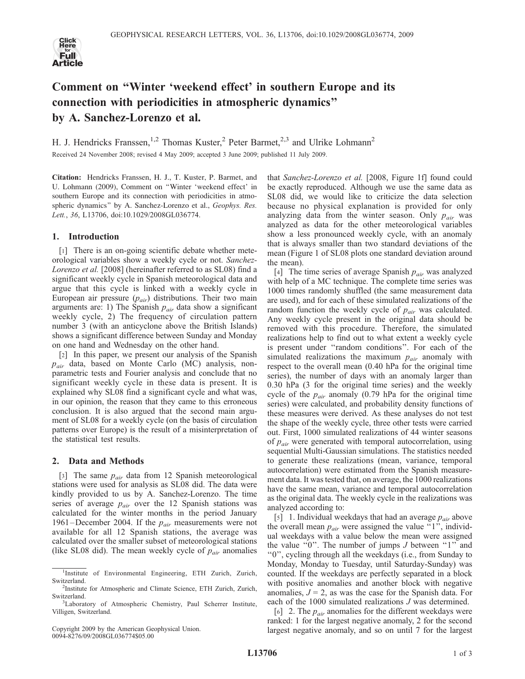

# Comment on ''Winter 'weekend effect' in southern Europe and its connection with periodicities in atmospheric dynamics'' by A. Sanchez-Lorenzo et al.

H. J. Hendricks Franssen,<sup>1,2</sup> Thomas Kuster,<sup>2</sup> Peter Barmet,<sup>2,3</sup> and Ulrike Lohmann<sup>2</sup> Received 24 November 2008; revised 4 May 2009; accepted 3 June 2009; published 11 July 2009.

Citation: Hendricks Franssen, H. J., T. Kuster, P. Barmet, and U. Lohmann (2009), Comment on ''Winter 'weekend effect' in southern Europe and its connection with periodicities in atmospheric dynamics" by A. Sanchez-Lorenzo et al., Geophys. Res. Lett., 36, L13706, doi:10.1029/2008GL036774.

### 1. Introduction

[1] There is an on-going scientific debate whether meteorological variables show a weekly cycle or not. Sanchez-Lorenzo et al. [2008] (hereinafter referred to as SL08) find a significant weekly cycle in Spanish meteorological data and argue that this cycle is linked with a weekly cycle in European air pressure  $(p_{air})$  distributions. Their two main arguments are: 1) The Spanish  $p_{air}$  data show a significant weekly cycle, 2) The frequency of circulation pattern number 3 (with an anticyclone above the British Islands) shows a significant difference between Sunday and Monday on one hand and Wednesday on the other hand.

[2] In this paper, we present our analysis of the Spanish  $p_{air}$  data, based on Monte Carlo (MC) analysis, nonparametric tests and Fourier analysis and conclude that no significant weekly cycle in these data is present. It is explained why SL08 find a significant cycle and what was, in our opinion, the reason that they came to this erroneous conclusion. It is also argued that the second main argument of SL08 for a weekly cycle (on the basis of circulation patterns over Europe) is the result of a misinterpretation of the statistical test results.

### 2. Data and Methods

[3] The same  $p_{air}$  data from 12 Spanish meteorological stations were used for analysis as SL08 did. The data were kindly provided to us by A. Sanchez-Lorenzo. The time series of average  $p_{air}$  over the 12 Spanish stations was calculated for the winter months in the period January 1961–December 2004. If the  $p_{air}$  measurements were not available for all 12 Spanish stations, the average was calculated over the smaller subset of meteorological stations (like SL08 did). The mean weekly cycle of  $p_{air}$  anomalies

Copyright 2009 by the American Geophysical Union. 0094-8276/09/2008GL036774\$05.00

that Sanchez-Lorenzo et al. [2008, Figure 1f] found could be exactly reproduced. Although we use the same data as SL08 did, we would like to criticize the data selection because no physical explanation is provided for only analyzing data from the winter season. Only  $p_{air}$  was analyzed as data for the other meteorological variables show a less pronounced weekly cycle, with an anomaly that is always smaller than two standard deviations of the mean (Figure 1 of SL08 plots one standard deviation around the mean).

[4] The time series of average Spanish  $p_{air}$  was analyzed with help of a MC technique. The complete time series was 1000 times randomly shuffled (the same measurement data are used), and for each of these simulated realizations of the random function the weekly cycle of  $p_{air}$  was calculated. Any weekly cycle present in the original data should be removed with this procedure. Therefore, the simulated realizations help to find out to what extent a weekly cycle is present under ''random conditions''. For each of the simulated realizations the maximum  $p_{air}$  anomaly with respect to the overall mean (0.40 hPa for the original time series), the number of days with an anomaly larger than 0.30 hPa (3 for the original time series) and the weekly cycle of the  $p_{air}$  anomaly (0.79 hPa for the original time series) were calculated, and probability density functions of these measures were derived. As these analyses do not test the shape of the weekly cycle, three other tests were carried out. First, 1000 simulated realizations of 44 winter seasons of  $p_{air}$  were generated with temporal autocorrelation, using sequential Multi-Gaussian simulations. The statistics needed to generate these realizations (mean, variance, temporal autocorrelation) were estimated from the Spanish measurement data. It was tested that, on average, the 1000 realizations have the same mean, variance and temporal autocorrelation as the original data. The weekly cycle in the realizations was analyzed according to:

[5] 1. Individual weekdays that had an average  $p_{air}$  above the overall mean  $p_{air}$  were assigned the value "1", individual weekdays with a value below the mean were assigned the value "0". The number of jumps  $J$  between "1" and ''0'', cycling through all the weekdays (i.e., from Sunday to Monday, Monday to Tuesday, until Saturday-Sunday) was counted. If the weekdays are perfectly separated in a block with positive anomalies and another block with negative anomalies,  $J = 2$ , as was the case for the Spanish data. For each of the 1000 simulated realizations J was determined.

[6] 2. The  $p_{air}$  anomalies for the different weekdays were ranked: 1 for the largest negative anomaly, 2 for the second largest negative anomaly, and so on until 7 for the largest

<sup>&</sup>lt;sup>1</sup>Institute of Environmental Engineering, ETH Zurich, Zurich, Switzerland.

<sup>&</sup>lt;sup>2</sup>Institute for Atmospheric and Climate Science, ETH Zurich, Zurich, Switzerland.

<sup>&</sup>lt;sup>3</sup>Laboratory of Atmospheric Chemistry, Paul Scherrer Institute, Villigen, Switzerland.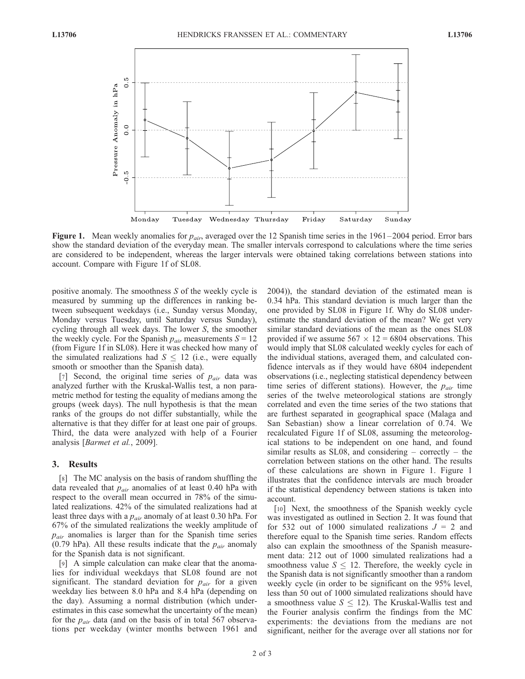

Figure 1. Mean weekly anomalies for  $p_{air}$ , averaged over the 12 Spanish time series in the 1961–2004 period. Error bars show the standard deviation of the everyday mean. The smaller intervals correspond to calculations where the time series are considered to be independent, whereas the larger intervals were obtained taking correlations between stations into account. Compare with Figure 1f of SL08.

positive anomaly. The smoothness S of the weekly cycle is measured by summing up the differences in ranking between subsequent weekdays (i.e., Sunday versus Monday, Monday versus Tuesday, until Saturday versus Sunday), cycling through all week days. The lower S, the smoother the weekly cycle. For the Spanish  $p_{air}$  measurements  $S = 12$ (from Figure 1f in SL08). Here it was checked how many of the simulated realizations had  $S \le 12$  (i.e., were equally smooth or smoother than the Spanish data).

[7] Second, the original time series of  $p_{air}$  data was analyzed further with the Kruskal-Wallis test, a non parametric method for testing the equality of medians among the groups (week days). The null hypothesis is that the mean ranks of the groups do not differ substantially, while the alternative is that they differ for at least one pair of groups. Third, the data were analyzed with help of a Fourier analysis [Barmet et al., 2009].

## 3. Results

[8] The MC analysis on the basis of random shuffling the data revealed that  $p_{air}$  anomalies of at least 0.40 hPa with respect to the overall mean occurred in 78% of the simulated realizations. 42% of the simulated realizations had at least three days with a  $p_{air}$  anomaly of at least 0.30 hPa. For 67% of the simulated realizations the weekly amplitude of  $p_{air}$  anomalies is larger than for the Spanish time series (0.79 hPa). All these results indicate that the  $p_{air}$  anomaly for the Spanish data is not significant.

[9] A simple calculation can make clear that the anomalies for individual weekdays that SL08 found are not significant. The standard deviation for  $p_{air}$  for a given weekday lies between 8.0 hPa and 8.4 hPa (depending on the day). Assuming a normal distribution (which underestimates in this case somewhat the uncertainty of the mean) for the  $p_{air}$  data (and on the basis of in total 567 observations per weekday (winter months between 1961 and 2004)), the standard deviation of the estimated mean is 0.34 hPa. This standard deviation is much larger than the one provided by SL08 in Figure 1f. Why do SL08 underestimate the standard deviation of the mean? We get very similar standard deviations of the mean as the ones SL08 provided if we assume  $567 \times 12 = 6804$  observations. This would imply that SL08 calculated weekly cycles for each of the individual stations, averaged them, and calculated confidence intervals as if they would have 6804 independent observations (i.e., neglecting statistical dependency between time series of different stations). However, the  $p_{air}$  time series of the twelve meteorological stations are strongly correlated and even the time series of the two stations that are furthest separated in geographical space (Malaga and San Sebastian) show a linear correlation of 0.74. We recalculated Figure 1f of SL08, assuming the meteorological stations to be independent on one hand, and found similar results as SL08, and considering – correctly – the correlation between stations on the other hand. The results of these calculations are shown in Figure 1. Figure 1 illustrates that the confidence intervals are much broader if the statistical dependency between stations is taken into account.

[10] Next, the smoothness of the Spanish weekly cycle was investigated as outlined in Section 2. It was found that for 532 out of 1000 simulated realizations  $J = 2$  and therefore equal to the Spanish time series. Random effects also can explain the smoothness of the Spanish measurement data: 212 out of 1000 simulated realizations had a smoothness value  $S \leq 12$ . Therefore, the weekly cycle in the Spanish data is not significantly smoother than a random weekly cycle (in order to be significant on the 95% level, less than 50 out of 1000 simulated realizations should have a smoothness value  $S \leq 12$ ). The Kruskal-Wallis test and the Fourier analysis confirm the findings from the MC experiments: the deviations from the medians are not significant, neither for the average over all stations nor for